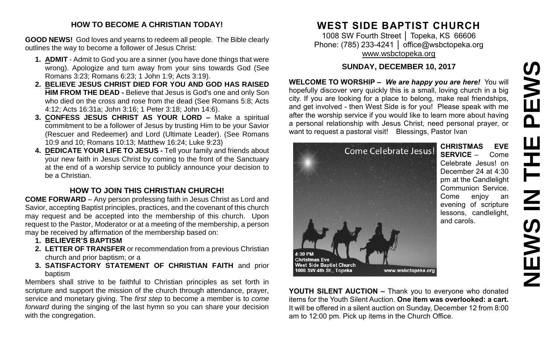# **NEWS IN THE PEWSPEWS HH NH NEW**

### **HOW TO BECOME A CHRISTIAN TODAY!**

**GOOD NEWS!** God loves and yearns to redeem all people. The Bible clearly outlines the way to become a follower of Jesus Christ:

- **1. ADMIT** Admit to God you are a sinner (you have done things that were wrong). Apologize and turn away from your sins towards God (See Romans 3:23; Romans 6:23; 1 John 1:9; Acts 3:19).
- **2. BELIEVE JESUS CHRIST DIED FOR YOU AND GOD HAS RAISED HIM FROM THE DEAD -** Believe that Jesus is God's one and only Son who died on the cross and rose from the dead (See Romans 5:8; Acts 4:12; Acts 16:31a; John 3:16; 1 Peter 3:18; John 14:6).
- **3. CONFESS JESUS CHRIST AS YOUR LORD –** Make a spiritual commitment to be a follower of Jesus by trusting Him to be your Savior (Rescuer and Redeemer) and Lord (Ultimate Leader). (See Romans 10:9 and 10; Romans 10:13; Matthew 16:24; Luke 9:23)
- **4. DEDICATE YOUR LIFE TO JESUS -** Tell your family and friends about your new faith in Jesus Christ by coming to the front of the Sanctuary at the end of a worship service to publicly announce your decision to be a Christian.

## **HOW TO JOIN THIS CHRISTIAN CHURCH!**

**COME FORWARD** – Any person professing faith in Jesus Christ as Lord and Savior, accepting Baptist principles, practices, and the covenant of this church may request and be accepted into the membership of this church. Upon request to the Pastor, Moderator or at a meeting of the membership, a person may be received by affirmation of the membership based on:

- **1. BELIEVER'S BAPTISM**
- **2. LETTER OF TRANSFER** or recommendation from a previous Christian church and prior baptism; or a
- **3. SATISFACTORY STATEMENT OF CHRISTIAN FAITH** and prior baptism

Members shall strive to be faithful to Christian principles as set forth in scripture and support the mission of the church through attendance, prayer, service and monetary giving. The *first step* to become a member is to *come forward* during the singing of the last hymn so you can share your decision with the congregation.

# **WEST SIDE BAPTIST CHURCH**

1008 SW Fourth Street │ Topeka, KS 66606 Phone: (785) 233-4241 | [office@wsbctopeka.org](mailto:office@wsbctopeka.org) [www.wsbctopeka.org](http://www.wsbctopeka.org/)

### **SUNDAY, DECEMBER 10, 2017**

**WELCOME TO WORSHIP –** *We are happy you are here!* You will hopefully discover very quickly this is a small, loving church in a big city. If you are looking for a place to belong, make real friendships, and get involved - then West Side is for you! Please speak with me after the worship service if you would like to learn more about having a personal relationship with Jesus Christ, need personal prayer, or want to request a pastoral visit! Blessings, Pastor Ivan



**CHRISTMAS EVE SERVICE** – Come Celebrate Jesus! on December 24 at 4:30 pm at the Candlelight Communion Service. Come enjoy an evening of scripture lessons, candlelight, and carols.

**YOUTH SILENT AUCTION –** Thank you to everyone who donated items for the Youth Silent Auction. **One item was overlooked: a cart.** It will be offered in a silent auction on Sunday, December 12 from 8:00 am to 12:00 pm. Pick up items in the Church Office.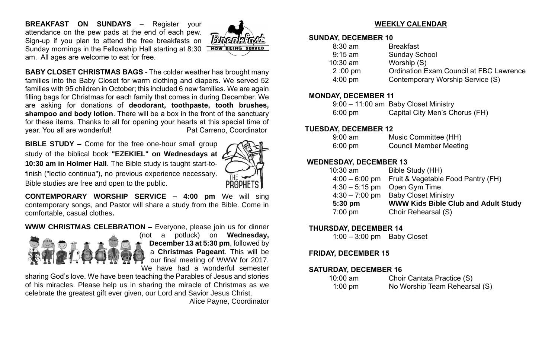**BREAKFAST ON SUNDAYS** – Register your attendance on the pew pads at the end of each pew. Sign-up if you plan to attend the free breakfasts on Sunday mornings in the Fellowship Hall starting at 8:30 am. All ages are welcome to eat for free.



**BABY CLOSET CHRISTMAS BAGS** - The colder weather has brought many families into the Baby Closet for warm clothing and diapers. We served 52 families with 95 children in October; this included 6 new families. We are again filling bags for Christmas for each family that comes in during December. We are asking for donations of **deodorant, toothpaste, tooth brushes, shampoo and body lotion**. There will be a box in the front of the sanctuary for these items. Thanks to all for opening your hearts at this special time of year. You all are wonderful! example and the Pat Carreno, Coordinator

**BIBLE STUDY –** Come for the free one-hour small group study of the biblical book **"EZEKIEL" on Wednesdays at 10:30 am in Holmer Hall**. The Bible study is taught start-tofinish ("lectio continua"), no previous experience necessary. Bible studies are free and open to the public.



**CONTEMPORARY WORSHIP SERVICE – 4:00 pm** We will sing contemporary songs, and Pastor will share a study from the Bible. Come in comfortable, casual clothes**.**

**WWW CHRISTMAS CELEBRATION –** Everyone, please join us for dinner



(not a potluck) on **Wednesday, December 13 at 5:30 pm**, followed by a **Christmas Pageant**. This will be our final meeting of WWW for 2017. We have had a wonderful semester

sharing God's love. We have been teaching the Parables of Jesus and stories of his miracles. Please help us in sharing the miracle of Christmas as we celebrate the greatest gift ever given, our Lord and Savior Jesus Christ.

Alice Payne, Coordinator

### **WEEKLY CALENDAR**

### **SUNDAY, DECEMBER 10**

| $8:30$ am         | <b>Breakfast</b>                               |
|-------------------|------------------------------------------------|
| $9:15$ am         | <b>Sunday School</b>                           |
| $10:30$ am        | Worship (S)                                    |
| $2:00 \text{ pm}$ | <b>Ordination Exam Council at FBC Lawrence</b> |
| $4:00$ pm         | Contemporary Worship Service (S)               |
|                   |                                                |

### **MONDAY, DECEMBER 11**

|                   | 9:00 - 11:00 am Baby Closet Ministry |
|-------------------|--------------------------------------|
| $6:00 \text{ pm}$ | Capital City Men's Chorus (FH)       |

### **TUESDAY, DECEMBER 12**

| $9:00 \text{ am}$ | Music Committee (HH)          |
|-------------------|-------------------------------|
| $6:00 \text{ pm}$ | <b>Council Member Meeting</b> |

### **WEDNESDAY, DECEMBER 13**

| $10:30$ am        | Bible Study (HH)                                  |
|-------------------|---------------------------------------------------|
|                   | 4:00 - 6:00 pm Fruit & Vegetable Food Pantry (FH) |
|                   | $4:30 - 5:15$ pm Open Gym Time                    |
| $4:30 - 7:00$ pm  | <b>Baby Closet Ministry</b>                       |
| 5:30 pm           | <b>WWW Kids Bible Club and Adult Study</b>        |
| $7:00 \text{ pm}$ | Choir Rehearsal (S)                               |
|                   |                                                   |

### **THURSDAY, DECEMBER 14**

1:00 – 3:00 pm Baby Closet

### **FRIDAY, DECEMBER 15**

### **SATURDAY, DECEMBER 16**

| $10:00$ am | Choir Cantata Practice (S)    |
|------------|-------------------------------|
| $1:00$ pm  | No Worship Team Rehearsal (S) |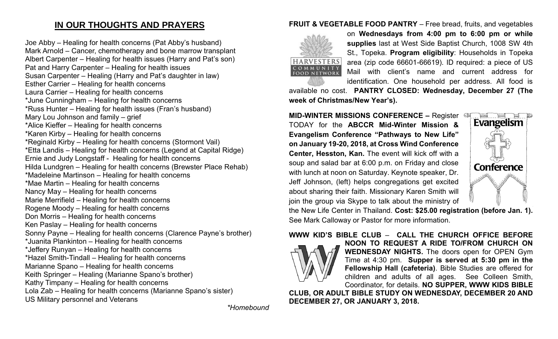# **IN OUR THOUGHTS AND PRAYERS**

Joe Abby – Healing for health concerns (Pat Abby's husband) Mark Arnold – Cancer, chemotherapy and bone marrow transplant Albert Carpenter – Healing for health issues (Harry and Pat's son) Pat and Harry Carpenter – Healing for health issues Susan Carpenter – Healing (Harry and Pat's daughter in law) Esther Carrier – Healing for health concerns Laura Carrier – Healing for health concerns \*June Cunningham – Healing for health concerns \*Russ Hunter – Healing for health issues (Fran's husband) Mary Lou Johnson and family – grief \*Alice Kieffer – Healing for health concerns \*Karen Kirby – Healing for health concerns \*Reginald Kirby – Healing for health concerns (Stormont Vail) \*Etta Landis – Healing for health concerns (Legend at Capital Ridge) Ernie and Judy Longstaff - Healing for health concerns Hilda Lundgren – Healing for health concerns (Brewster Place Rehab) \*Madeleine Martinson – Healing for health concerns \*Mae Martin – Healing for health concerns Nancy May – Healing for health concerns Marie Merrifield – Healing for health concerns Rogene Moody – Healing for health concerns Don Morris – Healing for health concerns Ken Paslay – Healing for health concerns Sonny Payne – Healing for health concerns (Clarence Payne's brother) \*Juanita Plankinton – Healing for health concerns \*Jeffery Runyan – Healing for health concerns \*Hazel Smith-Tindall – Healing for health concerns Marianne Spano – Healing for health concerns Keith Springer – Healing (Marianne Spano's brother) Kathy Timpany – Healing for health concerns Lola Zab – Healing for health concerns (Marianne Spano's sister) US Military personnel and Veterans

*\*Homebound*

### **FRUIT & VEGETABLE FOOD PANTRY** – Free bread, fruits, and vegetables



on **Wednesdays from 4:00 pm to 6:00 pm or while supplies** last at West Side Baptist Church, 1008 SW 4th St., Topeka. **Program eligibility**: Households in Topeka area (zip code 66601-66619). ID required: a piece of US Mail with client's name and current address for identification. One household per address. All food is

available no cost. **PANTRY CLOSED: Wednesday, December 27 (The week of Christmas/New Year's).**

**MID-WINTER MISSIONS CONFERENCE – Register CIF** TODAY for the **ABCCR Mid-Winter Mission & Evangelism Conference "Pathways to New Life" on January 19-20, 2018, at Cross Wind Conference Center, Hesston, Kan.** The event will kick off with a soup and salad bar at 6:00 p.m. on Friday and close with lunch at noon on Saturday. Keynote speaker, Dr. Jeff Johnson, (left) helps congregations get excited about sharing their faith. Missionary Karen Smith will join the group via Skype to talk about the ministry of



the New Life Center in Thailand. **Cost: \$25.00 registration (before Jan. 1).** See Mark Calloway or Pastor for more information.

### **WWW KID'S BIBLE CLUB** – **CALL THE CHURCH OFFICE BEFORE**



**NOON TO REQUEST A RIDE TO/FROM CHURCH ON WEDNESDAY NIGHTS.** The doors open for OPEN Gym Time at 4:30 pm. **Supper is served at 5:30 pm in the Fellowship Hall (cafeteria)**. Bible Studies are offered for children and adults of all ages. See Colleen Smith, Coordinator, for details. **NO SUPPER, WWW KIDS BIBLE** 

**CLUB, OR ADULT BIBLE STUDY ON WEDNESDAY, DECEMBER 20 AND DECEMBER 27, OR JANUARY 3, 2018.**